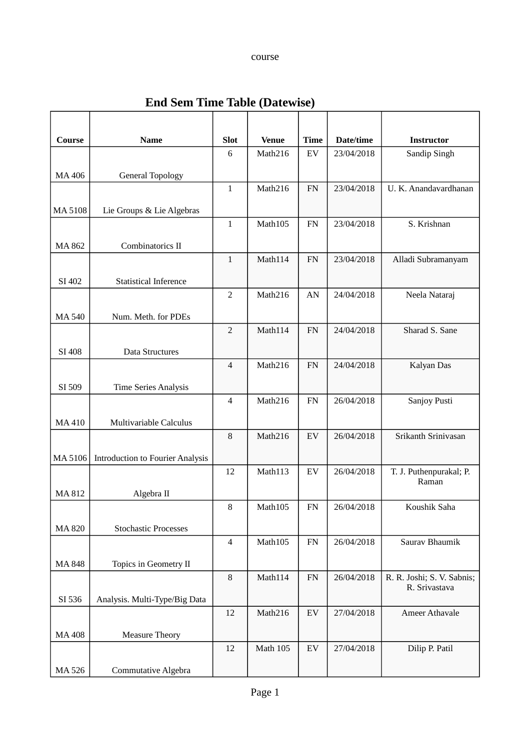## course

| Course  | <b>Name</b>                             | <b>Slot</b>    | <b>Venue</b>    | <b>Time</b> | Date/time  | <b>Instructor</b>          |
|---------|-----------------------------------------|----------------|-----------------|-------------|------------|----------------------------|
|         |                                         | $\,6\,$        | Math216         | ${\rm EV}$  | 23/04/2018 | Sandip Singh               |
| MA 406  | <b>General Topology</b>                 |                |                 |             |            |                            |
|         |                                         | $\mathbf{1}$   | Math216         | ${\rm FN}$  | 23/04/2018 | U. K. Anandavardhanan      |
|         |                                         |                |                 |             |            |                            |
| MA 5108 | Lie Groups & Lie Algebras               | $\mathbf{1}$   | Math105         | ${\rm FN}$  | 23/04/2018 | S. Krishnan                |
|         |                                         |                |                 |             |            |                            |
| MA 862  | Combinatorics II                        |                |                 |             |            |                            |
|         |                                         | $\mathbf{1}$   | Math114         | ${\rm FN}$  | 23/04/2018 | Alladi Subramanyam         |
| SI 402  | <b>Statistical Inference</b>            |                |                 |             |            |                            |
|         |                                         | $\overline{2}$ | Math216         | AN          | 24/04/2018 | Neela Nataraj              |
| MA 540  | Num. Meth. for PDEs                     |                |                 |             |            |                            |
|         |                                         | $\overline{2}$ | Math114         | ${\rm FN}$  | 24/04/2018 | Sharad S. Sane             |
|         |                                         |                |                 |             |            |                            |
| SI 408  | <b>Data Structures</b>                  | $\overline{4}$ | Math216         | ${\rm FN}$  | 24/04/2018 | Kalyan Das                 |
|         |                                         |                |                 |             |            |                            |
| SI 509  | <b>Time Series Analysis</b>             |                |                 |             |            |                            |
|         |                                         | $\overline{4}$ | Math216         | ${\rm FN}$  | 26/04/2018 | Sanjoy Pusti               |
| MA 410  | Multivariable Calculus                  |                |                 |             |            |                            |
|         |                                         | $\, 8$         | Math216         | ${\rm EV}$  | 26/04/2018 | Srikanth Srinivasan        |
| MA 5106 | <b>Introduction to Fourier Analysis</b> |                |                 |             |            |                            |
|         |                                         | 12             | Math113         | ${\rm EV}$  | 26/04/2018 | T. J. Puthenpurakal; P.    |
|         |                                         |                |                 |             |            | Raman                      |
| MA 812  | Algebra II                              | 8              | Math105         | ${\rm FN}$  | 26/04/2018 | Koushik Saha               |
|         |                                         |                |                 |             |            |                            |
| MA 820  | <b>Stochastic Processes</b>             |                |                 |             |            |                            |
|         |                                         | $\overline{4}$ | Math105         | ${\rm FN}$  | 26/04/2018 | Saurav Bhaumik             |
| MA 848  | Topics in Geometry II                   |                |                 |             |            |                            |
|         |                                         | $\, 8$         | Math114         | ${\rm FN}$  | 26/04/2018 | R. R. Joshi; S. V. Sabnis; |
| SI 536  | Analysis. Multi-Type/Big Data           |                |                 |             |            | R. Srivastava              |
|         |                                         | 12             | Math216         | ${\rm EV}$  | 27/04/2018 | <b>Ameer Athavale</b>      |
|         |                                         |                |                 |             |            |                            |
| MA 408  | <b>Measure Theory</b>                   | 12             | <b>Math 105</b> | ${\rm EV}$  | 27/04/2018 | Dilip P. Patil             |
|         |                                         |                |                 |             |            |                            |
| MA 526  | Commutative Algebra                     |                |                 |             |            |                            |

## **End Sem Time Table (Datewise)**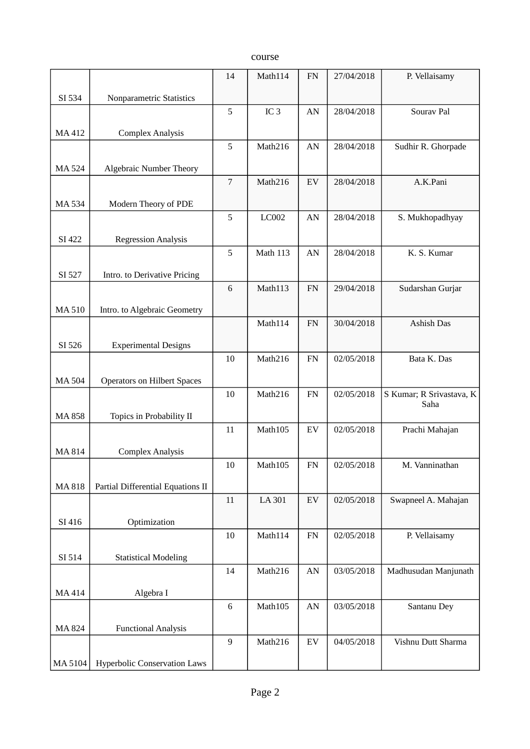course

|              |                                     | 14               | Math114         | ${\rm FN}$ | 27/04/2018 | P. Vellaisamy                    |
|--------------|-------------------------------------|------------------|-----------------|------------|------------|----------------------------------|
| SI 534       | Nonparametric Statistics            |                  |                 |            |            |                                  |
|              |                                     | 5                | IC <sub>3</sub> | AN         | 28/04/2018 | Sourav Pal                       |
| MA 412       | <b>Complex Analysis</b>             |                  |                 |            |            |                                  |
|              |                                     | 5                | Math216         | AN         | 28/04/2018 | Sudhir R. Ghorpade               |
|              |                                     |                  |                 |            |            |                                  |
| <b>MA524</b> | <b>Algebraic Number Theory</b>      | $\sqrt{ }$       | Math216         | ${\rm EV}$ | 28/04/2018 | A.K.Pani                         |
|              |                                     |                  |                 |            |            |                                  |
| MA 534       | Modern Theory of PDE                |                  |                 |            |            |                                  |
|              |                                     | 5                | LC002           | AN         | 28/04/2018 | S. Mukhopadhyay                  |
| SI 422       | <b>Regression Analysis</b>          |                  |                 |            |            |                                  |
|              |                                     | 5                | <b>Math 113</b> | AN         | 28/04/2018 | K. S. Kumar                      |
| SI 527       | Intro. to Derivative Pricing        |                  |                 |            |            |                                  |
|              |                                     | 6                | Math113         | ${\rm FN}$ | 29/04/2018 | Sudarshan Gurjar                 |
| <b>MA510</b> | Intro. to Algebraic Geometry        |                  |                 |            |            |                                  |
|              |                                     |                  | Math114         | ${\rm FN}$ | 30/04/2018 | Ashish Das                       |
|              |                                     |                  |                 |            |            |                                  |
| SI 526       | <b>Experimental Designs</b>         | 10               | Math216         | FN         | 02/05/2018 | Bata K. Das                      |
|              |                                     |                  |                 |            |            |                                  |
| <b>MA504</b> | <b>Operators on Hilbert Spaces</b>  |                  |                 |            |            |                                  |
|              |                                     | 10               | Math216         | ${\rm FN}$ | 02/05/2018 | S Kumar; R Srivastava, K<br>Saha |
| MA 858       | Topics in Probability II            |                  |                 |            |            |                                  |
|              |                                     | 11               | Math105         | ${\rm EV}$ | 02/05/2018 | Prachi Mahajan                   |
| MA 814       | <b>Complex Analysis</b>             |                  |                 |            |            |                                  |
|              |                                     | $10\,$           | Math105         | ${\rm FN}$ | 02/05/2018 | M. Vanninathan                   |
| <b>MA818</b> | Partial Differential Equations II   |                  |                 |            |            |                                  |
|              |                                     | $11\,$           | LA 301          | ${\rm EV}$ | 02/05/2018 | Swapneel A. Mahajan              |
| SI 416       |                                     |                  |                 |            |            |                                  |
|              | Optimization                        | 10               | Math114         | ${\rm FN}$ | 02/05/2018 | P. Vellaisamy                    |
|              |                                     |                  |                 |            |            |                                  |
| SI 514       | <b>Statistical Modeling</b>         |                  |                 |            | 03/05/2018 |                                  |
|              |                                     | 14               | Math216         | AN         |            | Madhusudan Manjunath             |
| MA 414       | Algebra I                           |                  |                 |            |            |                                  |
|              |                                     | $\,6\,$          | Math105         | ${\rm AN}$ | 03/05/2018 | Santanu Dey                      |
| MA 824       | <b>Functional Analysis</b>          |                  |                 |            |            |                                  |
|              |                                     | $\boldsymbol{9}$ | Math216         | ${\rm EV}$ | 04/05/2018 | Vishnu Dutt Sharma               |
| MA 5104      | <b>Hyperbolic Conservation Laws</b> |                  |                 |            |            |                                  |